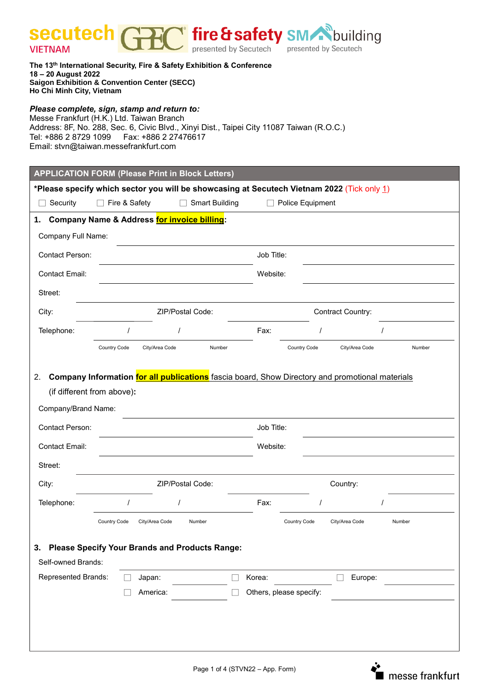**PC** fire & safety SM building secutech **VIETNAM** 

**The 13 th International Security, Fire & Safety Exhibition & Conference 18 – 20 August 2022 Saigon Exhibition & Convention Center (SECC) Ho Chi Minh City, Vietnam**

## *Please complete, sign, stamp and return to:*

Messe Frankfurt (H.K.) Ltd. Taiwan Branch Address: 8F, No. 288, Sec. 6, Civic Blvd., Xinyi Dist., Taipei City 11087 Taiwan (R.O.C.) Tel: +886 2 8729 1099 Fax: +886 2 27476617 Email: stvn@taiwan.messefrankfurt.com

| <b>APPLICATION FORM (Please Print in Block Letters)</b>                                                                                                                                                                                 |                  |                  |                       |        |                         |                |        |  |  |  |  |  |
|-----------------------------------------------------------------------------------------------------------------------------------------------------------------------------------------------------------------------------------------|------------------|------------------|-----------------------|--------|-------------------------|----------------|--------|--|--|--|--|--|
| *Please specify which sector you will be showcasing at Secutech Vietnam 2022 (Tick only 1)                                                                                                                                              |                  |                  |                       |        |                         |                |        |  |  |  |  |  |
| Security                                                                                                                                                                                                                                | Fire & Safety    |                  | <b>Smart Building</b> |        | Police Equipment        |                |        |  |  |  |  |  |
| Company Name & Address for invoice billing:<br>1.                                                                                                                                                                                       |                  |                  |                       |        |                         |                |        |  |  |  |  |  |
| <b>Company Full Name:</b>                                                                                                                                                                                                               |                  |                  |                       |        |                         |                |        |  |  |  |  |  |
| Contact Person:                                                                                                                                                                                                                         |                  |                  |                       |        | Job Title:              |                |        |  |  |  |  |  |
| <b>Contact Email:</b>                                                                                                                                                                                                                   |                  | Website:         |                       |        |                         |                |        |  |  |  |  |  |
| Street:                                                                                                                                                                                                                                 |                  |                  |                       |        |                         |                |        |  |  |  |  |  |
| City:                                                                                                                                                                                                                                   | ZIP/Postal Code: |                  |                       |        | Contract Country:       |                |        |  |  |  |  |  |
| Telephone:                                                                                                                                                                                                                              |                  |                  |                       | Fax:   |                         |                |        |  |  |  |  |  |
|                                                                                                                                                                                                                                         | Country Code     | City/Area Code   | Number                |        | Country Code            | City/Area Code | Number |  |  |  |  |  |
| Company Information for all publications fascia board, Show Directory and promotional materials<br>2.<br>(if different from above):<br>Company/Brand Name:<br><b>Contact Person:</b><br>Job Title:<br><b>Contact Email:</b><br>Website: |                  |                  |                       |        |                         |                |        |  |  |  |  |  |
| Street:                                                                                                                                                                                                                                 |                  |                  |                       |        |                         |                |        |  |  |  |  |  |
| City:                                                                                                                                                                                                                                   |                  | ZIP/Postal Code: |                       |        |                         | Country:       |        |  |  |  |  |  |
| Telephone:                                                                                                                                                                                                                              |                  |                  |                       | Fax:   |                         |                |        |  |  |  |  |  |
|                                                                                                                                                                                                                                         | Country Code     | City/Area Code   | Number                |        | <b>Country Code</b>     | City/Area Code | Number |  |  |  |  |  |
| <b>Please Specify Your Brands and Products Range:</b><br>3.<br>Self-owned Brands:                                                                                                                                                       |                  |                  |                       |        |                         |                |        |  |  |  |  |  |
| <b>Represented Brands:</b>                                                                                                                                                                                                              |                  | Japan:           |                       | Korea: |                         | Europe:        |        |  |  |  |  |  |
|                                                                                                                                                                                                                                         |                  | America:         |                       |        | Others, please specify: |                |        |  |  |  |  |  |
|                                                                                                                                                                                                                                         |                  |                  |                       |        |                         |                |        |  |  |  |  |  |

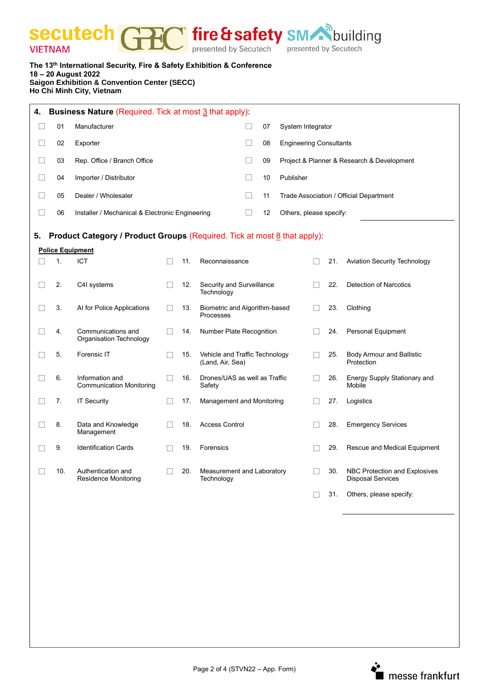**Secutech GEC** fire & safety SM building

| The 13 <sup>th</sup> International Security, Fire & Safety Exhibition & Conference |
|------------------------------------------------------------------------------------|
| 18 – 20 August 2022                                                                |
| <b>Saigon Exhibition &amp; Convention Center (SECC)</b>                            |
| <b>Ho Chi Minh City, Vietnam</b>                                                   |
|                                                                                    |

| <b>Business Nature (Required. Tick at most 3 that apply):</b><br>4.                                       |     |                                                    |        |     |                                                    |    |                                            |  |     |                                                           |  |  |
|-----------------------------------------------------------------------------------------------------------|-----|----------------------------------------------------|--------|-----|----------------------------------------------------|----|--------------------------------------------|--|-----|-----------------------------------------------------------|--|--|
| $\mathbf{L}$                                                                                              | 01  | Manufacturer                                       |        |     |                                                    |    | System Integrator                          |  |     |                                                           |  |  |
| $\mathbf{L}$                                                                                              | 02  | Exporter                                           |        | 08  | <b>Engineering Consultants</b>                     |    |                                            |  |     |                                                           |  |  |
| П                                                                                                         | 03  | Rep. Office / Branch Office                        |        |     |                                                    |    | Project & Planner & Research & Development |  |     |                                                           |  |  |
| $\Box$                                                                                                    | 04  | Importer / Distributor                             |        |     |                                                    |    | Publisher                                  |  |     |                                                           |  |  |
| $\Box$                                                                                                    | 05  | Dealer / Wholesaler                                |        | 11  | Trade Association / Official Department            |    |                                            |  |     |                                                           |  |  |
| П                                                                                                         | 06  | Installer / Mechanical & Electronic Engineering    |        |     |                                                    | 12 | Others, please specify:                    |  |     |                                                           |  |  |
|                                                                                                           |     |                                                    |        |     |                                                    |    |                                            |  |     |                                                           |  |  |
| Product Category / Product Groups (Required. Tick at most 8 that apply):<br>5.<br><b>Police Equipment</b> |     |                                                    |        |     |                                                    |    |                                            |  |     |                                                           |  |  |
|                                                                                                           | 1.  | ICT                                                |        | 11. | Reconnaissance                                     |    |                                            |  | 21. | <b>Aviation Security Technology</b>                       |  |  |
|                                                                                                           |     |                                                    |        |     |                                                    |    |                                            |  |     |                                                           |  |  |
|                                                                                                           | 2.  | C4I systems                                        | $\Box$ | 12. | Security and Surveillance<br>Technology            |    |                                            |  | 22. | <b>Detection of Narcotics</b>                             |  |  |
|                                                                                                           | 3.  | Al for Police Applications                         | $\Box$ | 13. | Biometric and Algorithm-based<br>Processes         |    |                                            |  | 23. | Clothing                                                  |  |  |
|                                                                                                           | 4.  | Communications and<br>Organisation Technology      | $\Box$ | 14. | Number Plate Recognition                           |    |                                            |  | 24. | Personal Equipment                                        |  |  |
|                                                                                                           | 5.  | Forensic IT                                        |        | 15. | Vehicle and Traffic Technology<br>(Land, Air, Sea) |    |                                            |  | 25. | <b>Body Armour and Ballistic</b><br>Protection            |  |  |
|                                                                                                           | 6.  | Information and<br><b>Communication Monitoring</b> | $\Box$ | 16. | Drones/UAS as well as Traffic<br>Safety            |    |                                            |  | 26. | Energy Supply Stationary and<br>Mobile                    |  |  |
|                                                                                                           | 7.  | <b>IT Security</b>                                 |        | 17. | Management and Monitoring                          |    |                                            |  | 27. | Logistics                                                 |  |  |
|                                                                                                           | 8.  | Data and Knowledge<br>Management                   |        | 18. | <b>Access Control</b>                              |    |                                            |  | 28. | <b>Emergency Services</b>                                 |  |  |
|                                                                                                           | 9.  | <b>Identification Cards</b>                        |        | 19. | Forensics                                          |    |                                            |  | 29. | Rescue and Medical Equipment                              |  |  |
| П                                                                                                         | 10. | Authentication and<br><b>Residence Monitoring</b>  | П      | 20. | Measurement and Laboratory<br>Technology           |    |                                            |  | 30. | NBC Protection and Explosives<br><b>Disposal Services</b> |  |  |
|                                                                                                           |     |                                                    |        |     |                                                    |    |                                            |  | 31. | Others, please specify:                                   |  |  |

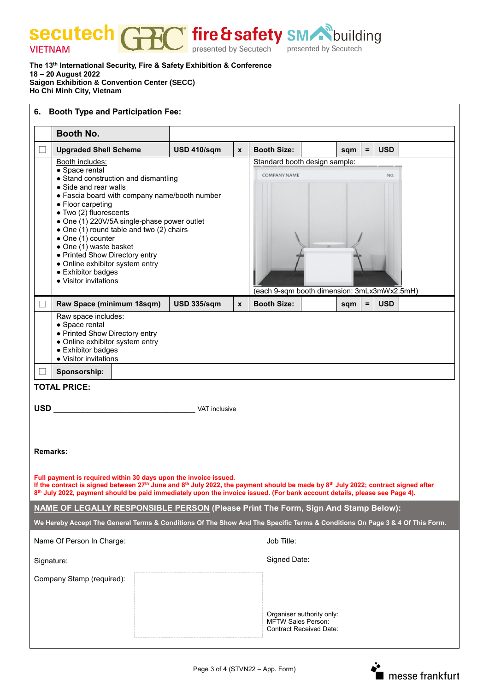Tire & safety SM building secutech N presented by Secutech **VIETNAM** 

**The 13 th International Security, Fire & Safety Exhibition & Conference 18 – 20 August 2022 Saigon Exhibition & Convention Center (SECC) Ho Chi Minh City, Vietnam**

| <b>Booth Type and Participation Fee:</b><br>6.                                                                                                                                                                                                                                                                                                                                                                           |                                                                                                                                                                                                                                                                                                                                                                                                                                                                  |                    |                                                                                                            |                                                |  |     |                        |  |  |  |  |
|--------------------------------------------------------------------------------------------------------------------------------------------------------------------------------------------------------------------------------------------------------------------------------------------------------------------------------------------------------------------------------------------------------------------------|------------------------------------------------------------------------------------------------------------------------------------------------------------------------------------------------------------------------------------------------------------------------------------------------------------------------------------------------------------------------------------------------------------------------------------------------------------------|--------------------|------------------------------------------------------------------------------------------------------------|------------------------------------------------|--|-----|------------------------|--|--|--|--|
|                                                                                                                                                                                                                                                                                                                                                                                                                          | <b>Booth No.</b>                                                                                                                                                                                                                                                                                                                                                                                                                                                 |                    |                                                                                                            |                                                |  |     |                        |  |  |  |  |
|                                                                                                                                                                                                                                                                                                                                                                                                                          | <b>Upgraded Shell Scheme</b>                                                                                                                                                                                                                                                                                                                                                                                                                                     | <b>USD 410/sqm</b> | $\boldsymbol{x}$                                                                                           | <b>Booth Size:</b>                             |  | sqm | <b>USD</b><br>$\equiv$ |  |  |  |  |
|                                                                                                                                                                                                                                                                                                                                                                                                                          | Booth includes:<br>• Space rental<br>• Stand construction and dismantling<br>• Side and rear walls<br>• Fascia board with company name/booth number<br>• Floor carpeting<br>· Two (2) fluorescents<br>• One (1) 220V/5A single-phase power outlet<br>• One (1) round table and two (2) chairs<br>• One (1) counter<br>• One (1) waste basket<br>• Printed Show Directory entry<br>• Online exhibitor system entry<br>• Exhibitor badges<br>• Visitor invitations |                    | Standard booth design sample:<br><b>COMPANY NAME</b><br>NO.<br>(each 9-sqm booth dimension: 3mLx3mWx2.5mH) |                                                |  |     |                        |  |  |  |  |
|                                                                                                                                                                                                                                                                                                                                                                                                                          | Raw Space (minimum 18sqm)                                                                                                                                                                                                                                                                                                                                                                                                                                        | <b>USD 335/sqm</b> | $\mathbf{x}$                                                                                               | <b>Booth Size:</b><br><b>USD</b><br>sqm<br>$=$ |  |     |                        |  |  |  |  |
| Raw space includes:<br>• Space rental<br>• Printed Show Directory entry<br>• Online exhibitor system entry<br>• Exhibitor badges<br>• Visitor invitations<br>Sponsorship:<br><b>TOTAL PRICE:</b>                                                                                                                                                                                                                         |                                                                                                                                                                                                                                                                                                                                                                                                                                                                  |                    |                                                                                                            |                                                |  |     |                        |  |  |  |  |
| <b>USD</b><br>VAT inclusive<br><b>Remarks:</b><br>Full payment is required within 30 days upon the invoice issued.<br>If the contract is signed between 27 <sup>th</sup> June and 8 <sup>th</sup> July 2022, the payment should be made by 8 <sup>th</sup> July 2022; contract signed after<br>8th July 2022, payment should be paid immediately upon the invoice issued. (For bank account details, please see Page 4). |                                                                                                                                                                                                                                                                                                                                                                                                                                                                  |                    |                                                                                                            |                                                |  |     |                        |  |  |  |  |
| <b>NAME OF LEGALLY RESPONSIBLE PERSON (Please Print The Form, Sign And Stamp Below):</b>                                                                                                                                                                                                                                                                                                                                 |                                                                                                                                                                                                                                                                                                                                                                                                                                                                  |                    |                                                                                                            |                                                |  |     |                        |  |  |  |  |
| We Hereby Accept The General Terms & Conditions Of The Show And The Specific Terms & Conditions On Page 3 & 4 Of This Form.                                                                                                                                                                                                                                                                                              |                                                                                                                                                                                                                                                                                                                                                                                                                                                                  |                    |                                                                                                            |                                                |  |     |                        |  |  |  |  |
|                                                                                                                                                                                                                                                                                                                                                                                                                          | Name Of Person In Charge:                                                                                                                                                                                                                                                                                                                                                                                                                                        |                    |                                                                                                            | Job Title:                                     |  |     |                        |  |  |  |  |
| Signature:                                                                                                                                                                                                                                                                                                                                                                                                               |                                                                                                                                                                                                                                                                                                                                                                                                                                                                  |                    |                                                                                                            | Signed Date:                                   |  |     |                        |  |  |  |  |
| Company Stamp (required):<br>Organiser authority only:<br><b>MFTW Sales Person:</b><br>Contract Received Date:                                                                                                                                                                                                                                                                                                           |                                                                                                                                                                                                                                                                                                                                                                                                                                                                  |                    |                                                                                                            |                                                |  |     |                        |  |  |  |  |